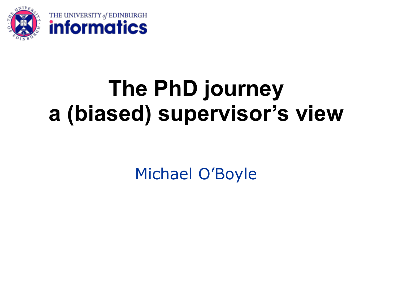

# **The PhD journey a (biased) supervisor's view**

Michael O'Boyle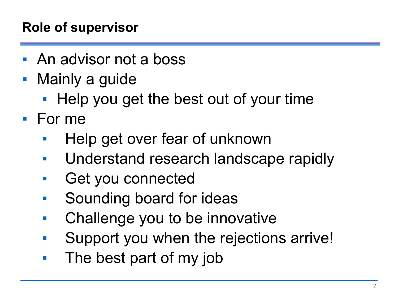# **Role of supervisor**

- An advisor not a boss
- **Mainly a guide** 
	- Help you get the best out of your time
- For me
	- Help get over fear of unknown
	- Understand research landscape rapidly
	- Get you connected
	- Sounding board for ideas
	- Challenge you to be innovative
	- Support you when the rejections arrive!
	- The best part of my job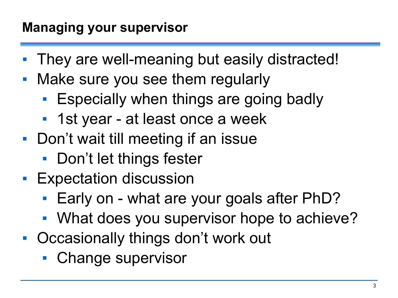- They are well-meaning but easily distracted!
- Make sure you see them regularly
	- **Expecially when things are going badly**
	- 1st year at least once a week
- Don't wait till meeting if an issue
	- Don't let things fester
- **Expectation discussion** 
	- Early on what are your goals after PhD?
	- What does you supervisor hope to achieve?
- Occasionally things don't work out
	- Change supervisor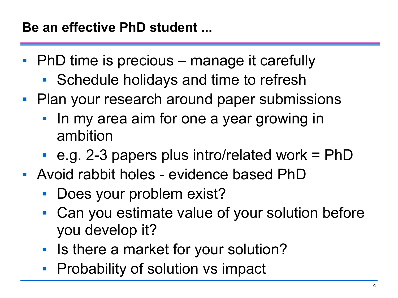- PhD time is precious manage it carefully
	- Schedule holidays and time to refresh
- **Plan your research around paper submissions** 
	- **In my area aim for one a year growing in** ambition
	- $\blacksquare$  e.g. 2-3 papers plus intro/related work = PhD
- Avoid rabbit holes evidence based PhD
	- Does your problem exist?
	- Can you estimate value of your solution before you develop it?
	- **EXPLEM** Is there a market for your solution?
	- **Probability of solution vs impact**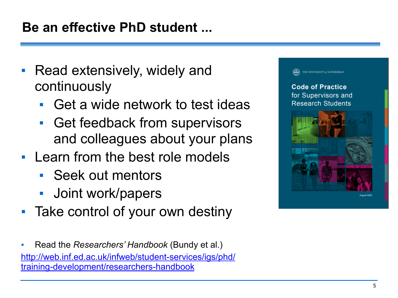### **Be an effective PhD student ...**

- Read extensively, widely and continuously
	- Get a wide network to test ideas
	- **Get feedback from supervisors** and colleagues about your plans
- Learn from the best role models
	- Seek out mentors
	- Joint work/papers
- Take control of your own destiny
- Read the *Researchers' Handbook* (Bundy et al.) [http://web.inf.ed.ac.uk/infweb/student-services/igs/phd/](http://web.inf.ed.ac.uk/infweb/student-services/igs/phd/training-development/researchers-handbook) [training-development/researchers-handbook](http://web.inf.ed.ac.uk/infweb/student-services/igs/phd/training-development/researchers-handbook)

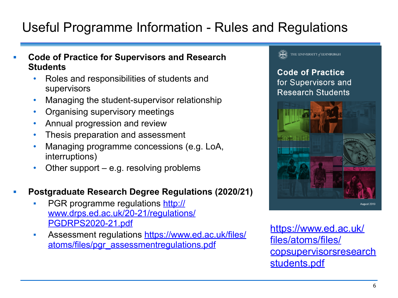# Useful Programme Information - Rules and Regulations

- **▪ Code of Practice for Supervisors and Research Students** 
	- Roles and responsibilities of students and supervisors
	- Managing the student-supervisor relationship
	- Organising supervisory meetings
	- Annual progression and review
	- Thesis preparation and assessment
	- Managing programme concessions (e.g. LoA, interruptions)
	- Other support  $-e.g.$  resolving problems

#### **▪ Postgraduate Research Degree Regulations (2020/21)**

- PGR programme regulations [http://](http://www.drps.ed.ac.uk/20-21/regulations/PGDRPS2020-21.pdf) [www.drps.ed.ac.uk/20-21/regulations/](http://www.drps.ed.ac.uk/20-21/regulations/PGDRPS2020-21.pdf) [PGDRPS2020-21.pdf](http://www.drps.ed.ac.uk/20-21/regulations/PGDRPS2020-21.pdf)
- **EXECTE:** Assessment regulations [https://www.ed.ac.uk/files/](https://www.ed.ac.uk/files/atoms/files/pgr_assessmentregulations.pdf) [atoms/files/pgr\\_assessmentregulations.pdf](https://www.ed.ac.uk/files/atoms/files/pgr_assessmentregulations.pdf)



**Code of Practice** for Supervisors and **Research Students** 



[https://www.ed.ac.uk/](https://www.ed.ac.uk/files/atoms/files/copsupervisorsresearchstudents.pdf) [files/atoms/files/](https://www.ed.ac.uk/files/atoms/files/copsupervisorsresearchstudents.pdf) [copsupervisorsresearch](https://www.ed.ac.uk/files/atoms/files/copsupervisorsresearchstudents.pdf) [students.pdf](https://www.ed.ac.uk/files/atoms/files/copsupervisorsresearchstudents.pdf)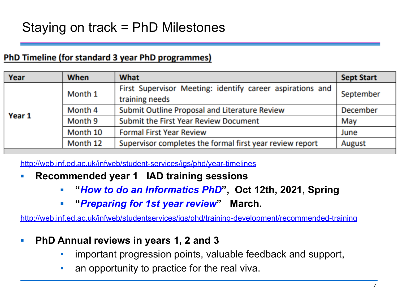### Staying on track = PhD Milestones

#### PhD Timeline (for standard 3 year PhD programmes)

| Year   | When     | What                                                                        | <b>Sept Start</b> |
|--------|----------|-----------------------------------------------------------------------------|-------------------|
| Year 1 | Month 1  | First Supervisor Meeting: identify career aspirations and<br>training needs | September         |
|        | Month 4  | Submit Outline Proposal and Literature Review                               | <b>December</b>   |
|        | Month 9  | Submit the First Year Review Document                                       | May               |
|        | Month 10 | <b>Formal First Year Review</b>                                             | June              |
|        | Month 12 | Supervisor completes the formal first year review report                    | August            |

<http://web.inf.ed.ac.uk/infweb/student-services/igs/phd/year-timelines>

- **▪ Recommended year 1 IAD training sessions**
	- **▪ "***How to do an Informatics PhD***", Oct 12th, 2021, Spring**
	- **▪ "***Preparing for 1st year review***" March.**

<http://web.inf.ed.ac.uk/infweb/studentservices/igs/phd/training-development/recommended-training>

- **▪ PhD Annual reviews in years 1, 2 and 3** 
	- important progression points, valuable feedback and support,
	- an opportunity to practice for the real viva.